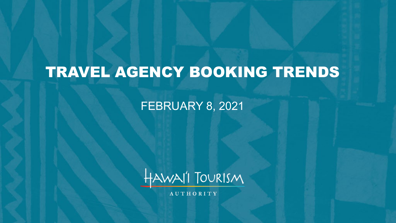# TRAVEL AGENCY BOOKING TRENDS

### FEBRUARY 8, 2021



**AUTHORITY**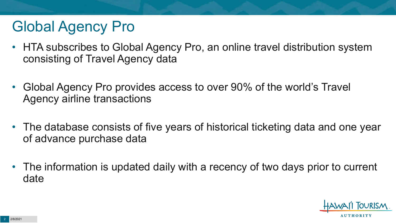# Global Agency Pro

- HTA subscribes to Global Agency Pro, an online travel distribution system consisting of Travel Agency data
- Global Agency Pro provides access to over 90% of the world's Travel Agency airline transactions
- The database consists of five years of historical ticketing data and one year of advance purchase data
- The information is updated daily with a recency of two days prior to current date

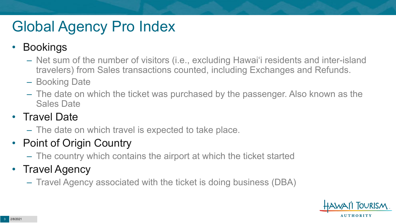# Global Agency Pro Index

### • Bookings

- Net sum of the number of visitors (i.e., excluding Hawai'i residents and inter-island travelers) from Sales transactions counted, including Exchanges and Refunds.
- Booking Date
- The date on which the ticket was purchased by the passenger. Also known as the Sales Date

### • Travel Date

– The date on which travel is expected to take place.

## • Point of Origin Country

– The country which contains the airport at which the ticket started

## • Travel Agency

– Travel Agency associated with the ticket is doing business (DBA)

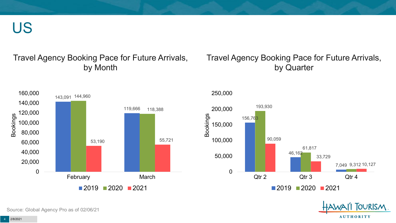US

#### Travel Agency Booking Pace for Future Arrivals, by Month

#### Travel Agency Booking Pace for Future Arrivals, by Quarter







Source: Global Agency Pro as of 02/06/21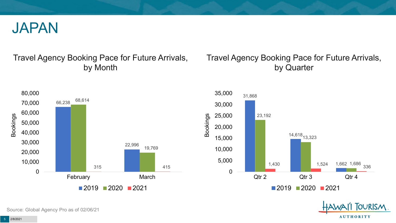

#### Travel Agency Booking Pace for Future Arrivals, by Month

### Travel Agency Booking Pace for Future Arrivals, by Quarter







Source: Global Agency Pro as of 02/06/21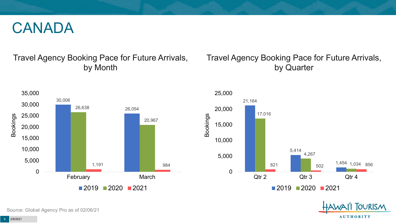## CANADA

### Travel Agency Booking Pace for Future Arrivals, by Month

### Travel Agency Booking Pace for Future Arrivals, by Quarter





**FOURISM** 

**AUTHORITY** 

Source: Global Agency Pro as of 02/06/21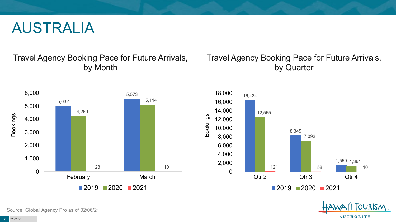## AUSTRALIA

Travel Agency Booking Pace for Future Arrivals, by Month



### Travel Agency Booking Pace for Future Arrivals, by Quarter





Source: Global Agency Pro as of 02/06/21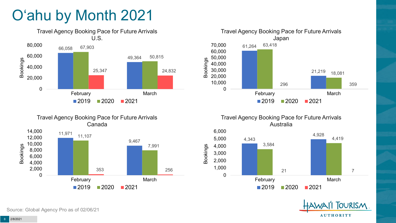# O'ahu by Month 2021











 $2019$  2020 2021

February March

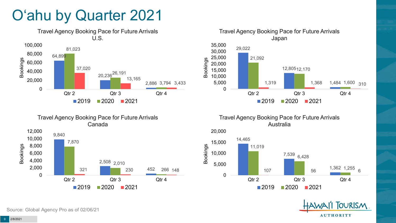# O'ahu by Quarter 2021





Travel Agency Booking Pace for Future Arrivals Australia





Canada 9,840 2,508 2,010 452 7,870 321 230 266 148 0 2,000 4,000 6,000 8,000 10,000 12,000 Qtr 2 Qtr 3 Qtr 4 Bookings

Travel Agency Booking Pace for Future Arrivals

 $2019$  2020 2021

Source: Global Agency Pro as of 02/06/21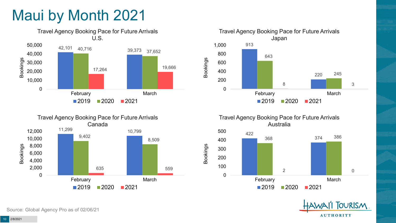# Maui by Month 2021









**OURISM AUTHORITY** 

Source: Global Agency Pro as of 02/06/21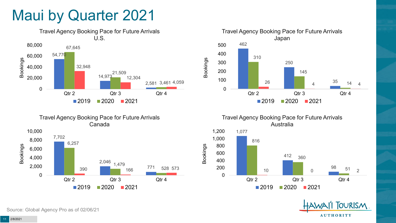## Maui by Quarter 2021





Travel Agency Booking Pace for Future Arrivals Japan 462 250 35 310 145 26 **4**  $\frac{35}{14}$  14 4 0 100 200 300 400 500 Qtr 2 Qtr 3 Qtr 4 Bookings  $2019$  2020 2021

> Travel Agency Booking Pace for Future Arrivals Australia



Bookings



Source: Global Agency Pro as of 02/06/21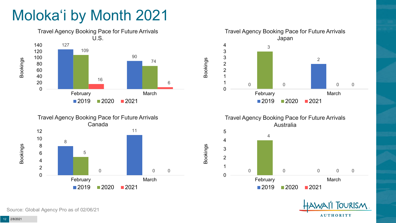# Moloka'i by Month 2021







Travel Agency Booking Pace for Future Arrivals Australia



Bookings

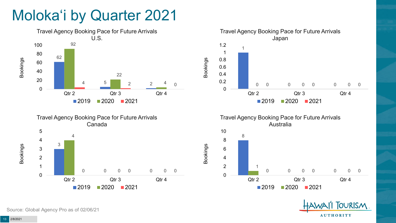# Moloka'i by Quarter 2021











Source: Global Agency Pro as of 02/06/21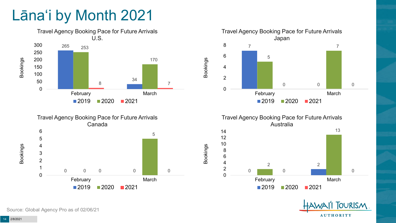# Lāna'i by Month 2021









Bookings

**FOURISM AUTHORITY** 

Source: Global Agency Pro as of 02/06/21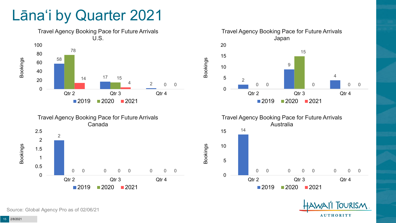## Lāna'i by Quarter 2021





Travel Agency Booking Pace for Future Arrivals Japan  $\Omega$  0 0 0 Qtr 2 Qtr 3 Qtr 4 2020 2021

Bookings



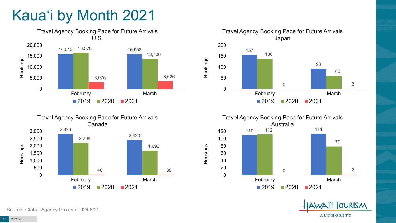# Kaua'i by Month 2021











Source: Global Agency Pro as of 02/06/21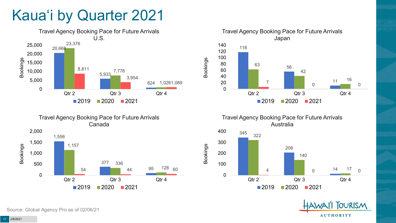# Kaua'i by Quarter 2021







Travel Agency Booking Pace for Future Arrivals Australia

Bookings





Source: Global Agency Pro as of 02/06/21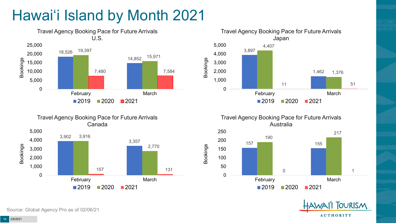# Hawai'i Island by Month 2021







Travel Agency Booking Pace for Future Arrivals Australia

Bookings





Source: Global Agency Pro as of 02/06/21